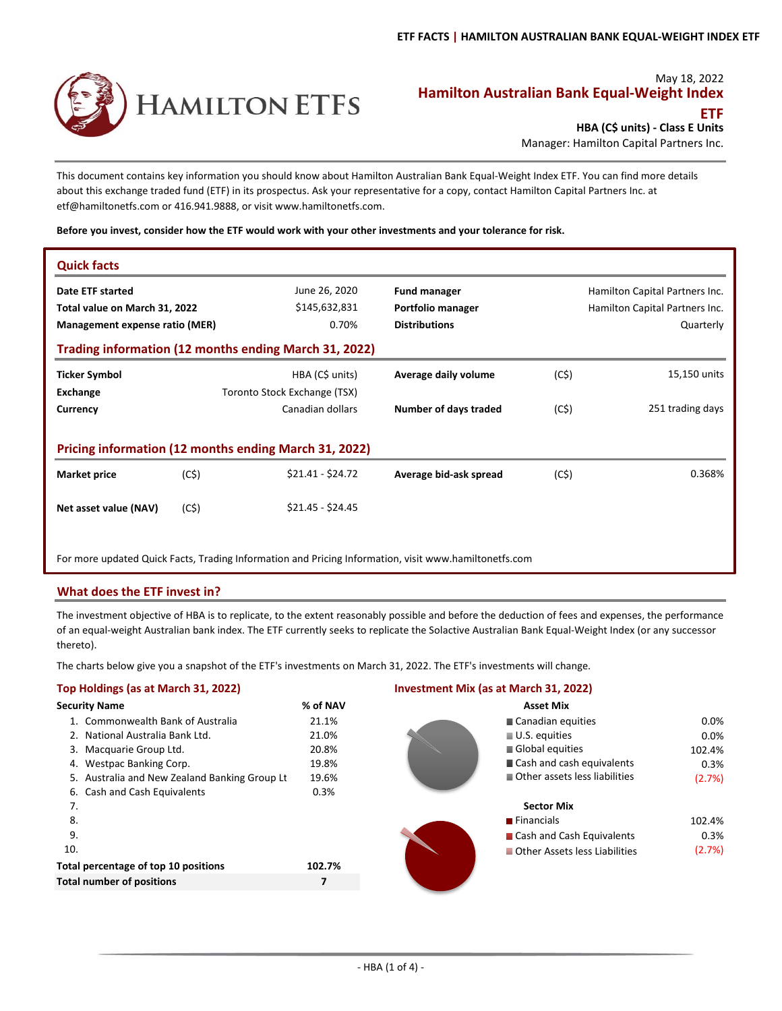

# May 18, 2022 **Hamilton Australian Bank Equal‐Weight Index ETF**

**HBA (C\$ units) ‐ Class E Units**

Manager: Hamilton Capital Partners Inc.

This document contains key information you should know about Hamilton Australian Bank Equal‐Weight Index ETF. You can find more details about this exchange traded fund (ETF) in its prospectus. Ask your representative for a copy, contact Hamilton Capital Partners Inc. at etf@hamiltonetfs.com or 416.941.9888, or visit www.hamiltonetfs.com.

**Before you invest, consider how the ETF would work with your other investments and your tolerance for risk.**

| <b>Quick facts</b>                                                                                    |      |                                                 |                                                                  |      |                                                                               |
|-------------------------------------------------------------------------------------------------------|------|-------------------------------------------------|------------------------------------------------------------------|------|-------------------------------------------------------------------------------|
| Date ETF started<br>Total value on March 31, 2022<br>Management expense ratio (MER)                   |      | June 26, 2020<br>\$145,632,831<br>0.70%         | <b>Fund manager</b><br>Portfolio manager<br><b>Distributions</b> |      | Hamilton Capital Partners Inc.<br>Hamilton Capital Partners Inc.<br>Quarterly |
| Trading information (12 months ending March 31, 2022)                                                 |      |                                                 |                                                                  |      |                                                                               |
| <b>Ticker Symbol</b><br>Exchange                                                                      |      | HBA (C\$ units)<br>Toronto Stock Exchange (TSX) | Average daily volume                                             | (C5) | 15,150 units                                                                  |
| Currency                                                                                              |      | Canadian dollars                                | Number of days traded                                            | (C5) | 251 trading days                                                              |
| Pricing information (12 months ending March 31, 2022)                                                 |      |                                                 |                                                                  |      |                                                                               |
| <b>Market price</b>                                                                                   | (C5) | $$21.41 - $24.72$                               | Average bid-ask spread                                           | (C5) | 0.368%                                                                        |
| Net asset value (NAV)                                                                                 | (C5) | $$21.45 - $24.45$                               |                                                                  |      |                                                                               |
| For more updated Quick Facts, Trading Information and Pricing Information, visit www.hamiltonetfs.com |      |                                                 |                                                                  |      |                                                                               |

# **What does the ETF invest in?**

The investment objective of HBA is to replicate, to the extent reasonably possible and before the deduction of fees and expenses, the performance of an equal‐weight Australian bank index. The ETF currently seeks to replicate the Solactive Australian Bank Equal‐Weight Index (or any successor thereto).

The charts below give you a snapshot of the ETF's investments on March 31, 2022. The ETF's investments will change.

# **Top Holdings (as at March 31, 2022) Investment Mix (as at March 31, 2022)**

| <b>Security Name</b>                          | % of NAV | <b>Asset Mix</b>              |        |
|-----------------------------------------------|----------|-------------------------------|--------|
| 1. Commonwealth Bank of Australia             | 21.1%    | ■ Canadian equities           | 0.0%   |
| 2. National Australia Bank Ltd.               | 21.0%    | $\blacksquare$ U.S. equities  | 0.0%   |
| 3. Macquarie Group Ltd.                       | 20.8%    | Global equities               | 102.4% |
| 4. Westpac Banking Corp.                      | 19.8%    | Cash and cash equivalents     | 0.3%   |
| 5. Australia and New Zealand Banking Group Lt | 19.6%    | Other assets less liabilities | (2.7%) |
| 6. Cash and Cash Equivalents                  | 0.3%     |                               |        |
| 7.                                            |          | <b>Sector Mix</b>             |        |
| 8.                                            |          | <b>■</b> Financials           | 102.4% |
| 9.                                            |          | ■ Cash and Cash Equivalents   | 0.3%   |
| 10.                                           |          | Other Assets less Liabilities | (2.7%) |
| Total percentage of top 10 positions          | 102.7%   |                               |        |
| <b>Total number of positions</b>              | 7        |                               |        |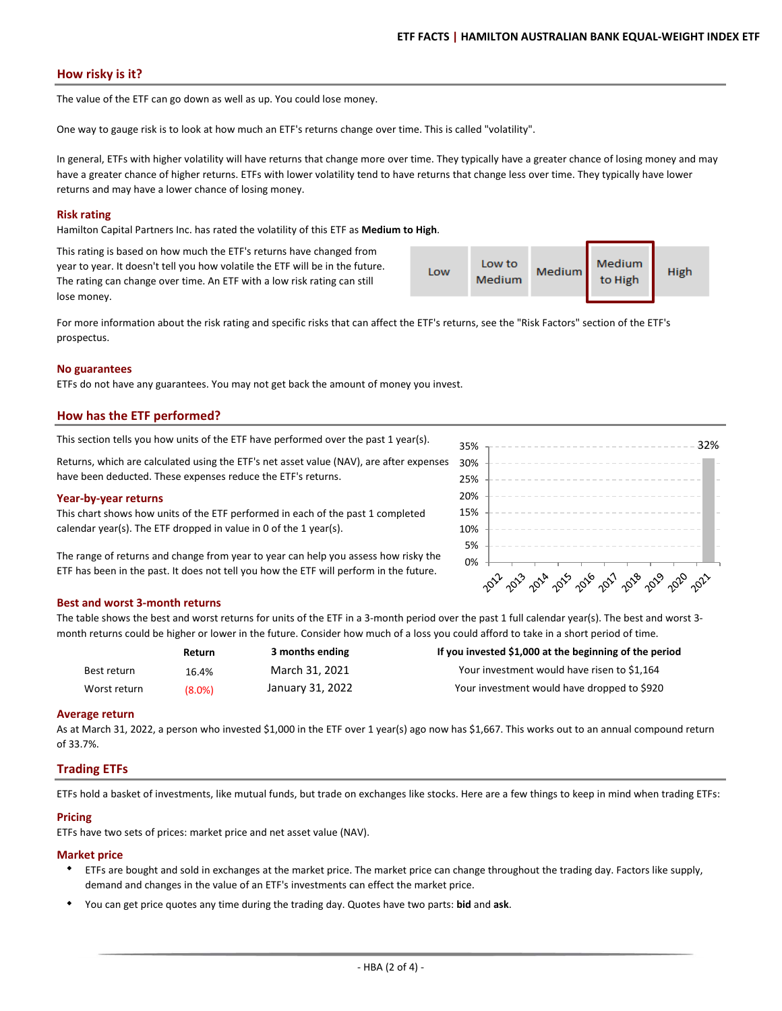# **How risky is it?**

The value of the ETF can go down as well as up. You could lose money.

One way to gauge risk is to look at how much an ETF's returns change over time. This is called "volatility".

In general, ETFs with higher volatility will have returns that change more over time. They typically have a greater chance of losing money and may have a greater chance of higher returns. ETFs with lower volatility tend to have returns that change less over time. They typically have lower returns and may have a lower chance of losing money.

## **Risk rating**

Hamilton Capital Partners Inc. has rated the volatility of this ETF as **Medium to High**.

This rating is based on how much the ETF's returns have changed from year to year. It doesn't tell you how volatile the ETF will be in the future. The rating can change over time. An ETF with a low risk rating can still lose money.

| ٠ | Low | Low to<br>Medium | Medium | Medium<br>to High | <b>High</b> |
|---|-----|------------------|--------|-------------------|-------------|
|   |     |                  |        |                   |             |

2012-2013 2014 2015 2019 2019 2019 2010

For more information about the risk rating and specific risks that can affect the ETF's returns, see the "Risk Factors" section of the ETF's prospectus.

## **No guarantees**

ETFs do not have any guarantees. You may not get back the amount of money you invest.

# **How has the ETF performed?**

This section tells you how units of the ETF have performed over the past 1 year(s).  $35\%$   $\frac{35\%}{1000}$   $\frac{32\%}{1000}$ 

Returns, which are calculated using the ETF's net asset value (NAV), are after expenses have been deducted. These expenses reduce the ETF's returns. 25% 30%

## **Year‐by‐year returns**

This chart shows how units of the ETF performed in each of the past 1 completed calendar year(s). The ETF dropped in value in 0 of the 1 year(s).

The range of returns and change from year to year can help you assess how risky the ETF has been in the past. It does not tell you how the ETF will perform in the future.

## **Best and worst 3‐month returns**

The table shows the best and worst returns for units of the ETF in a 3-month period over the past 1 full calendar year(s). The best and worst 3month returns could be higher or lower in the future. Consider how much of a loss you could afford to take in a short period of time.

0% 5% 10% 15% 20%

35%

|              | Return | 3 months ending  | If you invested \$1,000 at the beginning of the period |
|--------------|--------|------------------|--------------------------------------------------------|
| Best return  | 16.4%  | March 31, 2021   | Your investment would have risen to \$1,164            |
| Worst return | (8.0%) | January 31, 2022 | Your investment would have dropped to \$920            |

## **Average return**

As at March 31, 2022, a person who invested \$1,000 in the ETF over 1 year(s) ago now has \$1,667. This works out to an annual compound return of 33.7%.

# **Trading ETFs**

ETFs hold a basket of investments, like mutual funds, but trade on exchanges like stocks. Here are a few things to keep in mind when trading ETFs:

## **Pricing**

ETFs have two sets of prices: market price and net asset value (NAV).

## **Market price**

- ETFs are bought and sold in exchanges at the market price. The market price can change throughout the trading day. Factors like supply, demand and changes in the value of an ETF's investments can effect the market price.
- You can get price quotes any time during the trading day. Quotes have two parts: **bid** and **ask**.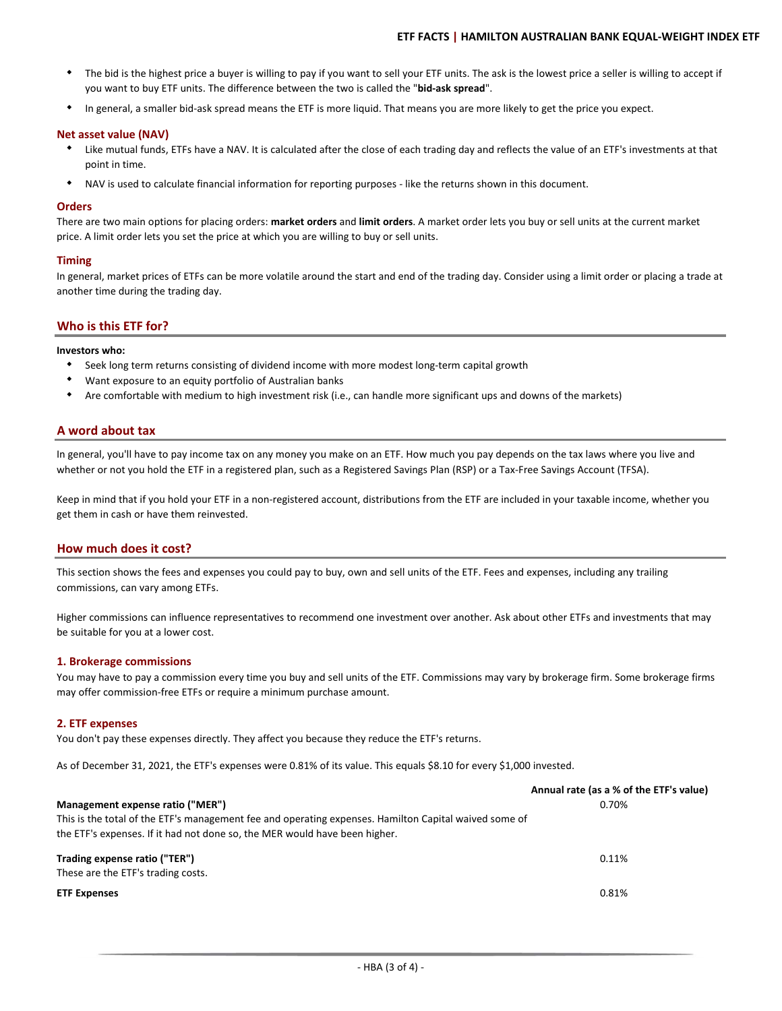- $\bullet$ The bid is the highest price a buyer is willing to pay if you want to sell your ETF units. The ask is the lowest price a seller is willing to accept if you want to buy ETF units. The difference between the two is called the "**bid‐ask spread**".
- $\bullet$ In general, a smaller bid‐ask spread means the ETF is more liquid. That means you are more likely to get the price you expect.

## **Net asset value (NAV)**

- Like mutual funds, ETFs have a NAV. It is calculated after the close of each trading day and reflects the value of an ETF's investments at that point in time.
- $\bullet$ NAV is used to calculate financial information for reporting purposes ‐ like the returns shown in this document.

## **Orders**

There are two main options for placing orders: **market orders** and **limit orders**. A market order lets you buy or sell units at the current market price. A limit order lets you set the price at which you are willing to buy or sell units.

## **Timing**

In general, market prices of ETFs can be more volatile around the start and end of the trading day. Consider using a limit order or placing a trade at another time during the trading day.

# **Who is this ETF for?**

#### **Investors who:**

- Seek long term returns consisting of dividend income with more modest long‐term capital growth
- Want exposure to an equity portfolio of Australian banks
- $\bullet$ Are comfortable with medium to high investment risk (i.e., can handle more significant ups and downs of the markets)

# **A word about tax**

In general, you'll have to pay income tax on any money you make on an ETF. How much you pay depends on the tax laws where you live and whether or not you hold the ETF in a registered plan, such as a Registered Savings Plan (RSP) or a Tax-Free Savings Account (TFSA).

Keep in mind that if you hold your ETF in a non-registered account, distributions from the ETF are included in your taxable income, whether you get them in cash or have them reinvested.

## **How much does it cost?**

This section shows the fees and expenses you could pay to buy, own and sell units of the ETF. Fees and expenses, including any trailing commissions, can vary among ETFs.

Higher commissions can influence representatives to recommend one investment over another. Ask about other ETFs and investments that may be suitable for you at a lower cost.

## **1. Brokerage commissions**

You may have to pay a commission every time you buy and sell units of the ETF. Commissions may vary by brokerage firm. Some brokerage firms may offer commission‐free ETFs or require a minimum purchase amount.

## **2. ETF expenses**

You don't pay these expenses directly. They affect you because they reduce the ETF's returns.

As of December 31, 2021, the ETF's expenses were 0.81% of its value. This equals \$8.10 for every \$1,000 invested.

|                                                                                                       | Annual rate (as a % of the ETF's value) |
|-------------------------------------------------------------------------------------------------------|-----------------------------------------|
| Management expense ratio ("MER")                                                                      | 0.70%                                   |
| This is the total of the ETF's management fee and operating expenses. Hamilton Capital waived some of |                                         |
| the ETF's expenses. If it had not done so, the MER would have been higher.                            |                                         |
| Trading expense ratio ("TER")                                                                         | 0.11%                                   |
| These are the ETF's trading costs.                                                                    |                                         |
| <b>ETF Expenses</b>                                                                                   | 0.81%                                   |